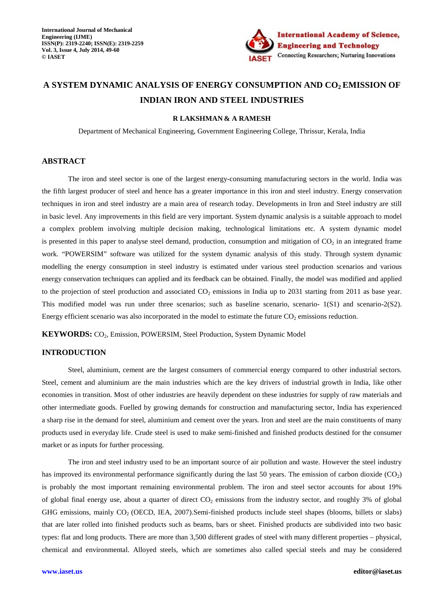

# **A SYSTEM DYNAMIC ANALYSIS OF ENERGY CONSUMPTION AND CO2 EMISSION OF INDIAN IRON AND STEEL INDUSTRIES**

# **R LAKSHMAN & A RAMESH**

Department of Mechanical Engineering, Government Engineering College, Thrissur, Kerala, India

# **ABSTRACT**

The iron and steel sector is one of the largest energy-consuming manufacturing sectors in the world. India was the fifth largest producer of steel and hence has a greater importance in this iron and steel industry. Energy conservation techniques in iron and steel industry are a main area of research today. Developments in Iron and Steel industry are still in basic level. Any improvements in this field are very important. System dynamic analysis is a suitable approach to model a complex problem involving multiple decision making, technological limitations etc. A system dynamic model is presented in this paper to analyse steel demand, production, consumption and mitigation of  $CO<sub>2</sub>$  in an integrated frame work. "POWERSIM" software was utilized for the system dynamic analysis of this study. Through system dynamic modelling the energy consumption in steel industry is estimated under various steel production scenarios and various energy conservation techniques can applied and its feedback can be obtained. Finally, the model was modified and applied to the projection of steel production and associated  $CO<sub>2</sub>$  emissions in India up to 2031 starting from 2011 as base year. This modified model was run under three scenarios; such as baseline scenario, scenario- 1(S1) and scenario-2(S2). Energy efficient scenario was also incorporated in the model to estimate the future  $CO<sub>2</sub>$  emissions reduction.

**KEYWORDS:** CO<sub>2</sub>, Emission, POWERSIM, Steel Production, System Dynamic Model

# **INTRODUCTION**

Steel, aluminium, cement are the largest consumers of commercial energy compared to other industrial sectors. Steel, cement and aluminium are the main industries which are the key drivers of industrial growth in India, like other economies in transition. Most of other industries are heavily dependent on these industries for supply of raw materials and other intermediate goods. Fuelled by growing demands for construction and manufacturing sector, India has experienced a sharp rise in the demand for steel, aluminium and cement over the years. Iron and steel are the main constituents of many products used in everyday life. Crude steel is used to make semi-finished and finished products destined for the consumer market or as inputs for further processing.

The iron and steel industry used to be an important source of air pollution and waste. However the steel industry has improved its environmental performance significantly during the last 50 years. The emission of carbon dioxide  $(CO_2)$ is probably the most important remaining environmental problem. The iron and steel sector accounts for about 19% of global final energy use, about a quarter of direct  $CO<sub>2</sub>$  emissions from the industry sector, and roughly 3% of global GHG emissions, mainly  $CO<sub>2</sub>$  (OECD, IEA, 2007).Semi-finished products include steel shapes (blooms, billets or slabs) that are later rolled into finished products such as beams, bars or sheet. Finished products are subdivided into two basic types: flat and long products. There are more than 3,500 different grades of steel with many different properties – physical, chemical and environmental. Alloyed steels, which are sometimes also called special steels and may be considered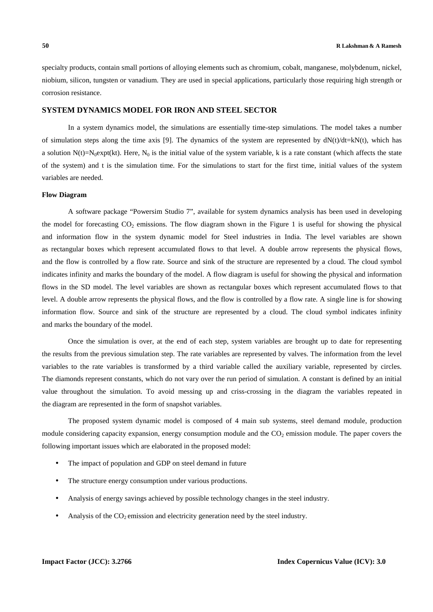specialty products, contain small portions of alloying elements such as chromium, cobalt, manganese, molybdenum, nickel, niobium, silicon, tungsten or vanadium. They are used in special applications, particularly those requiring high strength or corrosion resistance.

# **SYSTEM DYNAMICS MODEL FOR IRON AND STEEL SECTOR**

In a system dynamics model, the simulations are essentially time-step simulations. The model takes a number of simulation steps along the time axis [9]. The dynamics of the system are represented by  $dN(t)/dt=kN(t)$ , which has a solution  $N(t)=N_0e^{k(t)}$ . Here,  $N_0$  is the initial value of the system variable, k is a rate constant (which affects the state of the system) and t is the simulation time. For the simulations to start for the first time, initial values of the system variables are needed.

# **Flow Diagram**

A software package "Powersim Studio 7", available for system dynamics analysis has been used in developing the model for forecasting  $CO<sub>2</sub>$  emissions. The flow diagram shown in the Figure 1 is useful for showing the physical and information flow in the system dynamic model for Steel industries in India. The level variables are shown as rectangular boxes which represent accumulated flows to that level. A double arrow represents the physical flows, and the flow is controlled by a flow rate. Source and sink of the structure are represented by a cloud. The cloud symbol indicates infinity and marks the boundary of the model. A flow diagram is useful for showing the physical and information flows in the SD model. The level variables are shown as rectangular boxes which represent accumulated flows to that level. A double arrow represents the physical flows, and the flow is controlled by a flow rate. A single line is for showing information flow. Source and sink of the structure are represented by a cloud. The cloud symbol indicates infinity and marks the boundary of the model.

Once the simulation is over, at the end of each step, system variables are brought up to date for representing the results from the previous simulation step. The rate variables are represented by valves. The information from the level variables to the rate variables is transformed by a third variable called the auxiliary variable, represented by circles. The diamonds represent constants, which do not vary over the run period of simulation. A constant is defined by an initial value throughout the simulation. To avoid messing up and criss-crossing in the diagram the variables repeated in the diagram are represented in the form of snapshot variables.

The proposed system dynamic model is composed of 4 main sub systems, steel demand module, production module considering capacity expansion, energy consumption module and the  $CO<sub>2</sub>$  emission module. The paper covers the following important issues which are elaborated in the proposed model:

- The impact of population and GDP on steel demand in future
- The structure energy consumption under various productions.
- Analysis of energy savings achieved by possible technology changes in the steel industry.
- Analysis of the  $CO<sub>2</sub>$  emission and electricity generation need by the steel industry.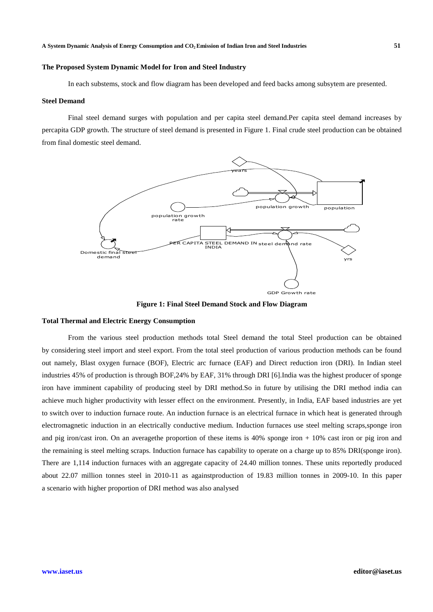# **The Proposed System Dynamic Model for Iron and Steel Industry**

In each substems, stock and flow diagram has been developed and feed backs among subsytem are presented.

### **Steel Demand**

Final steel demand surges with population and per capita steel demand.Per capita steel demand increases by percapita GDP growth. The structure of steel demand is presented in Figure 1. Final crude steel production can be obtained from final domestic steel demand.



**Figure 1: Final Steel Demand Stock and Flow Diagram**

#### **Total Thermal and Electric Energy Consumption**

From the various steel production methods total Steel demand the total Steel production can be obtained by considering steel import and steel export. From the total steel production of various production methods can be found out namely, Blast oxygen furnace (BOF), Electric arc furnace (EAF) and Direct reduction iron (DRI). In Indian steel industries 45% of production is through BOF,24% by EAF, 31% through DRI [6].India was the highest producer of sponge iron have imminent capability of producing steel by DRI method.So in future by utilising the DRI method india can achieve much higher productivity with lesser effect on the environment. Presently, in India, EAF based industries are yet to switch over to induction furnace route. An induction furnace is an electrical furnace in which heat is generated through electromagnetic induction in an electrically conductive medium. Induction furnaces use steel melting scraps,sponge iron and pig iron/cast iron. On an averagethe proportion of these items is  $40\%$  sponge iron  $+10\%$  cast iron or pig iron and the remaining is steel melting scraps. Induction furnace has capability to operate on a charge up to 85% DRI(sponge iron). There are 1,114 induction furnaces with an aggregate capacity of 24.40 million tonnes. These units reportedly produced about 22.07 million tonnes steel in 2010-11 as againstproduction of 19.83 million tonnes in 2009-10. In this paper a scenario with higher proportion of DRI method was also analysed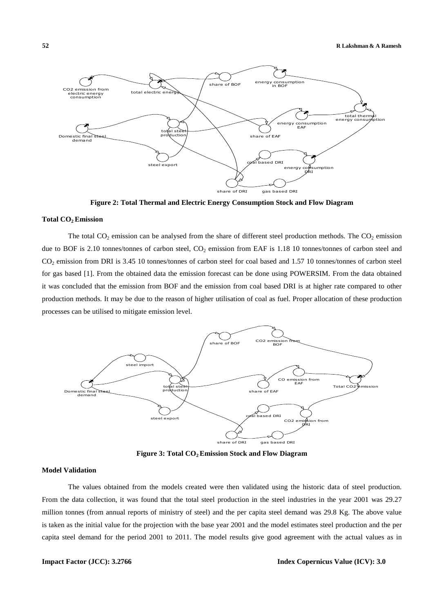

**Figure 2: Total Thermal and Electric Energy Consumption Stock and Flow Diagram** 

#### **Total CO2 Emission**

The total  $CO_2$  emission can be analysed from the share of different steel production methods. The  $CO_2$  emission due to BOF is 2.10 tonnes/tonnes of carbon steel,  $CO<sub>2</sub>$  emission from EAF is 1.18 10 tonnes/tonnes of carbon steel and  $CO<sub>2</sub>$  emission from DRI is 3.45 10 tonnes/tonnes of carbon steel for coal based and 1.57 10 tonnes/tonnes of carbon steel for gas based [1]. From the obtained data the emission forecast can be done using POWERSIM. From the data obtained it was concluded that the emission from BOF and the emission from coal based DRI is at higher rate compared to other production methods. It may be due to the reason of higher utilisation of coal as fuel. Proper allocation of these production processes can be utilised to mitigate emission level.



**Figure 3: Total CO2 Emission Stock and Flow Diagram** 

#### **Model Validation**

The values obtained from the models created were then validated using the historic data of steel production. From the data collection, it was found that the total steel production in the steel industries in the year 2001 was 29.27 million tonnes (from annual reports of ministry of steel) and the per capita steel demand was 29.8 Kg. The above value is taken as the initial value for the projection with the base year 2001 and the model estimates steel production and the per capita steel demand for the period 2001 to 2011. The model results give good agreement with the actual values as in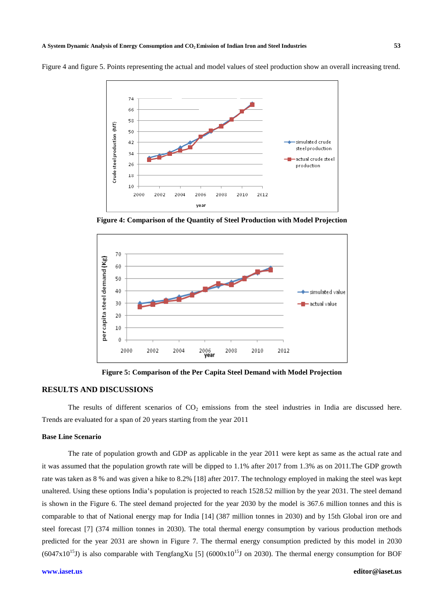

Figure 4 and figure 5. Points representing the actual and model values of steel production show an overall increasing trend.

**Figure 4: Comparison of the Quantity of Steel Production with Model Projection** 



**Figure 5: Comparison of the Per Capita Steel Demand with Model Projection** 

#### **RESULTS AND DISCUSSIONS**

The results of different scenarios of  $CO<sub>2</sub>$  emissions from the steel industries in India are discussed here. Trends are evaluated for a span of 20 years starting from the year 2011

# **Base Line Scenario**

The rate of population growth and GDP as applicable in the year 2011 were kept as same as the actual rate and it was assumed that the population growth rate will be dipped to 1.1% after 2017 from 1.3% as on 2011.The GDP growth rate was taken as 8 % and was given a hike to 8.2% [18] after 2017. The technology employed in making the steel was kept unaltered. Using these options India's population is projected to reach 1528.52 million by the year 2031. The steel demand is shown in the Figure 6. The steel demand projected for the year 2030 by the model is 367.6 million tonnes and this is comparable to that of National energy map for India [14] (387 million tonnes in 2030) and by 15th Global iron ore and steel forecast [7] (374 million tonnes in 2030). The total thermal energy consumption by various production methods predicted for the year 2031 are shown in Figure 7. The thermal energy consumption predicted by this model in 2030  $(6047 \times 10^{15} \text{J})$  is also comparable with TengfangXu [5]  $(6000 \times 10^{15} \text{J}$  on 2030). The thermal energy consumption for BOF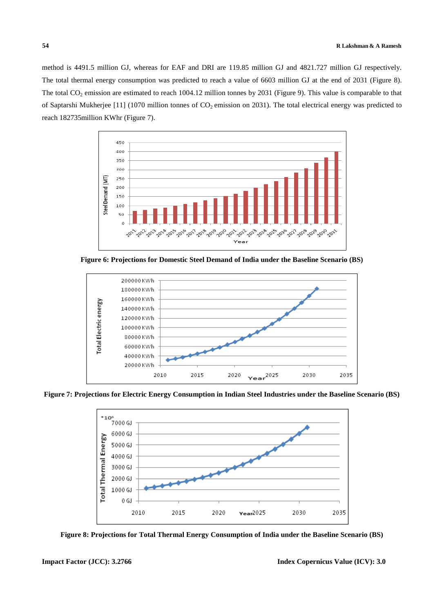method is 4491.5 million GJ, whereas for EAF and DRI are 119.85 million GJ and 4821.727 million GJ respectively. The total thermal energy consumption was predicted to reach a value of 6603 million GJ at the end of 2031 (Figure 8). The total  $CO_2$  emission are estimated to reach 1004.12 million tonnes by 2031 (Figure 9). This value is comparable to that of Saptarshi Mukherjee [11] (1070 million tonnes of  $CO<sub>2</sub>$  emission on 2031). The total electrical energy was predicted to reach 182735million KWhr (Figure 7).



**Figure 6: Projections for Domestic Steel Demand of India under the Baseline Scenario (BS)** 



**Figure 7: Projections for Electric Energy Consumption in Indian Steel Industries under the Baseline Scenario (BS)** 



**Figure 8: Projections for Total Thermal Energy Consumption of India under the Baseline Scenario (BS)**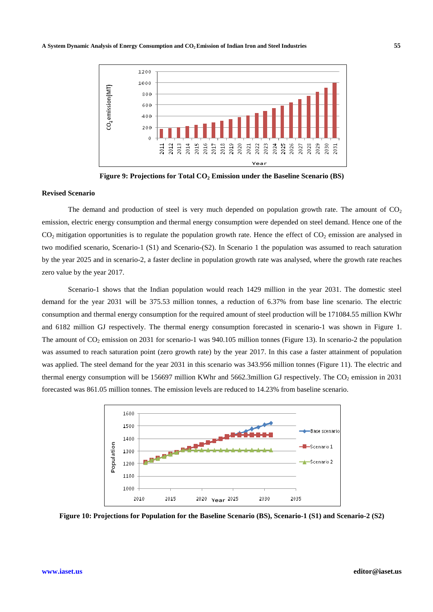

**Figure 9: Projections for Total CO2 Emission under the Baseline Scenario (BS)** 

#### **Revised Scenario**

The demand and production of steel is very much depended on population growth rate. The amount of  $CO<sub>2</sub>$ emission, electric energy consumption and thermal energy consumption were depended on steel demand. Hence one of the  $CO<sub>2</sub>$  mitigation opportunities is to regulate the population growth rate. Hence the effect of  $CO<sub>2</sub>$  emission are analysed in two modified scenario, Scenario-1 (S1) and Scenario-(S2). In Scenario 1 the population was assumed to reach saturation by the year 2025 and in scenario-2, a faster decline in population growth rate was analysed, where the growth rate reaches zero value by the year 2017.

Scenario-1 shows that the Indian population would reach 1429 million in the year 2031. The domestic steel demand for the year 2031 will be 375.53 million tonnes, a reduction of 6.37% from base line scenario. The electric consumption and thermal energy consumption for the required amount of steel production will be 171084.55 million KWhr and 6182 million GJ respectively. The thermal energy consumption forecasted in scenario-1 was shown in Figure 1. The amount of  $CO_2$  emission on 2031 for scenario-1 was 940.105 million tonnes (Figure 13). In scenario-2 the population was assumed to reach saturation point (zero growth rate) by the year 2017. In this case a faster attainment of population was applied. The steel demand for the year 2031 in this scenario was 343.956 million tonnes (Figure 11). The electric and thermal energy consumption will be 156697 million KWhr and 5662.3million GJ respectively. The  $CO<sub>2</sub>$  emission in 2031 forecasted was 861.05 million tonnes. The emission levels are reduced to 14.23% from baseline scenario.



**Figure 10: Projections for Population for the Baseline Scenario (BS), Scenario-1 (S1) and Scenario-2 (S2)**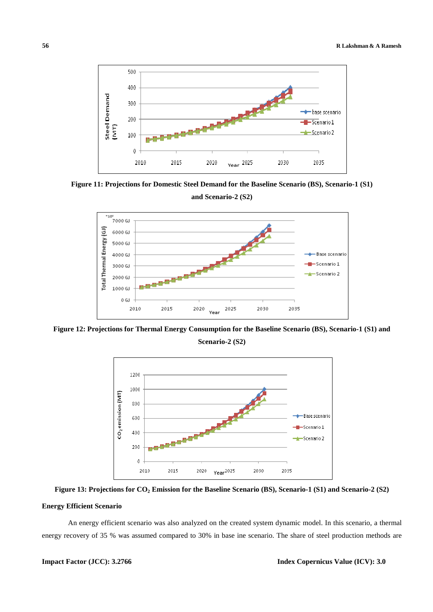

**Figure 11: Projections for Domestic Steel Demand for the Baseline Scenario (BS), Scenario-1 (S1) and Scenario-2 (S2)** 



**Figure 12: Projections for Thermal Energy Consumption for the Baseline Scenario (BS), Scenario-1 (S1) and Scenario-2 (S2)** 



**Figure 13: Projections for CO2 Emission for the Baseline Scenario (BS), Scenario-1 (S1) and Scenario-2 (S2)** 

## **Energy Efficient Scenario**

An energy efficient scenario was also analyzed on the created system dynamic model. In this scenario, a thermal energy recovery of 35 % was assumed compared to 30% in base ine scenario. The share of steel production methods are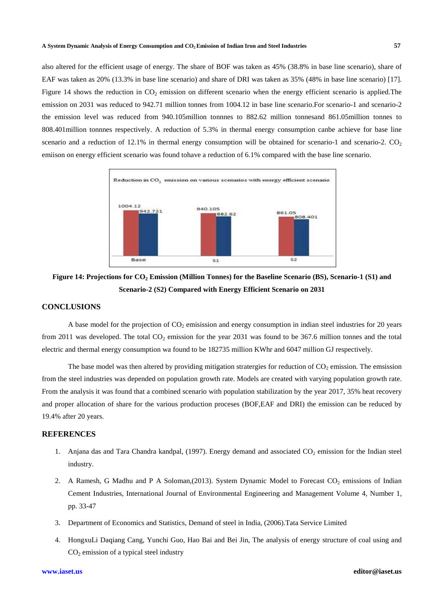also altered for the efficient usage of energy. The share of BOF was taken as 45% (38.8% in base line scenario), share of EAF was taken as 20% (13.3% in base line scenario) and share of DRI was taken as 35% (48% in base line scenario) [17]. Figure 14 shows the reduction in  $CO<sub>2</sub>$  emission on different scenario when the energy efficient scenario is applied. The emission on 2031 was reduced to 942.71 million tonnes from 1004.12 in base line scenario.For scenario-1 and scenario-2 the emission level was reduced from 940.105million tonnnes to 882.62 million tonnesand 861.05million tonnes to 808.401million tonnnes respectively. A reduction of 5.3% in thermal energy consumption canbe achieve for base line scenario and a reduction of 12.1% in thermal energy consumption will be obtained for scenario-1 and scenario-2.  $CO<sub>2</sub>$ emiison on energy efficient scenario was found tohave a reduction of 6.1% compared with the base line scenario.



**Figure 14: Projections for CO2 Emission (Million Tonnes) for the Baseline Scenario (BS), Scenario-1 (S1) and Scenario-2 (S2) Compared with Energy Efficient Scenario on 2031** 

# **CONCLUSIONS**

A base model for the projection of  $CO<sub>2</sub>$  emisission and energy consumption in indian steel industries for 20 years from 2011 was developed. The total  $CO_2$  emission for the year 2031 was found to be 367.6 million tonnes and the total electric and thermal energy consumption wa found to be 182735 million KWhr and 6047 million GJ respectively.

The base model was then altered by providing mitigation stratergies for reduction of  $CO<sub>2</sub>$  emission. The emsission from the steel industries was depended on population growth rate. Models are created with varying population growth rate. From the analysis it was found that a combined scenario with population stabilization by the year 2017, 35% heat recovery and proper allocation of share for the various production proceses (BOF,EAF and DRI) the emission can be reduced by 19.4% after 20 years.

# **REFERENCES**

- 1. Anjana das and Tara Chandra kandpal, (1997). Energy demand and associated  $CO<sub>2</sub>$  emission for the Indian steel industry.
- 2. A Ramesh, G Madhu and P A Soloman,(2013). System Dynamic Model to Forecast  $CO_2$  emissions of Indian Cement Industries, International Journal of Environmental Engineering and Management Volume 4, Number 1, pp. 33-47
- 3. Department of Economics and Statistics, Demand of steel in India, (2006).Tata Service Limited
- 4. HongxuLi Daqiang Cang, Yunchi Guo, Hao Bai and Bei Jin, The analysis of energy structure of coal using and  $CO<sub>2</sub>$  emission of a typical steel industry